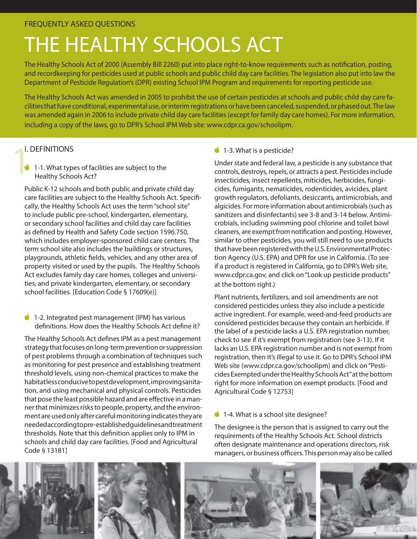# THE HEALTHY SCHOOLS ACT

The Healthy Schools Act of 2000 (Assembly Bill 2260) put into place right-to-know requirements such as notification, posting, and recordkeeping for pesticides used at public schools and public child day care facilities. The legislation also put into law the Department of Pesticide Regulation's (DPR) existing School IPM Program and requirements for reporting pesticide use.

The Healthy Schools Act was amended in 2005 to prohibit the use of certain pesticides at schools and public child day care facilities that have conditional, experimental use, or interim registrations or have been canceled, suspended, or phased out. The law was amended again in 2006 to include private child day care facilities (except for family day care homes). For more information, including a copy of the laws, go to DPR's School IPM Web site: www.cdpr.ca.gov/schoolipm.

I. DEFINITIONS<br>
1-1. What type<br>
Healthy Schoo  $\bullet$  1-1. What types of facilities are subject to the Healthy Schools Act?

Public K-12 schools and both public and private child day care facilities are subject to the Healthy Schools Act. Specifi cally, the Healthy Schools Act uses the term "school site" to include public pre-school, kindergarten, elementary, or secondary school facilities and child day care facilities as defined by Health and Safety Code section 1596.750, which includes employer-sponsored child care centers. The term school site also includes the buildings or structures, playgrounds, athletic fields, vehicles, and any other area of property visited or used by the pupils. The Healthy Schools Act excludes family day care homes, colleges and universities, and private kindergarten, elementary, or secondary school facilities. [Education Code § 17609(e)]

1-2. Integrated pest management (IPM) has various definitions. How does the Healthy Schools Act define it?

The Healthy Schools Act defines IPM as a pest management strategy that focuses on long-term prevention or suppression of pest problems through a combination of techniques such as monitoring for pest presence and establishing treatment threshold levels, using non-chemical practices to make the habitat less conducive to pest development, improving sanitation, and using mechanical and physical controls. Pesticides that pose the least possible hazard and are effective in a manner that minimizes risks to people, property, and the environment are used only after careful monitoring indicates they are needed according to pre-established guidelines and treatment thresholds. Note that this definition applies only to IPM in schools and child day care facilities. [Food and Agricultural Code § 13181]

### 1-3. What is a pesticide?

Under state and federal law, a pesticide is any substance that controls, destroys, repels, or attracts a pest. Pesticides include insecticides, insect repellents, miticides, herbicides, fungicides, fumigants, nematicides, rodenticides, avicides, plant growth regulators, defoliants, desiccants, antimicrobials, and algicides. For more information about antimicrobials (such as sanitizers and disinfectants) see 3-8 and 3-14 below. Antimicrobials, including swimming pool chlorine and toilet bowl cleaners, are exempt from notification and posting. However, similar to other pesticides, you will still need to use products that have been registered with the U.S. Environmental Protection Agency (U.S. EPA) and DPR for use in California. (To see if a product is registered in California, go to DPR's Web site, www.cdpr.ca.gov, and click on "Look up pesticide products" at the bottom right.)

Plant nutrients, fertilizers, and soil amendments are not considered pesticides unless they also include a pesticide active ingredient. For example, weed-and-feed products are considered pesticides because they contain an herbicide. If the label of a pesticide lacks a U.S. EPA registration number, check to see if it's exempt from registration (see 3-13). If it lacks an U.S. EPA registration number and is not exempt from registration, then it's illegal to use it. Go to DPR's School IPM Web site (www.cdpr.ca.gov/schoolipm) and click on "Pesticides Exempted under the Healthy Schools Act" at the bottom right for more information on exempt products. [Food and Agricultural Code § 12753]

 $\bullet$  1-4. What is a school site designee?

 managers, or business officers. This person may also be called The designee is the person that is assigned to carry out the requirements of the Healthy Schools Act. School districts often designate maintenance and operations directors, risk

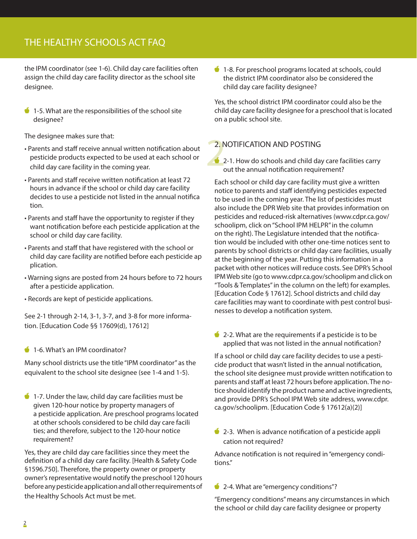### THE HEALTHY SCHOOLS ACT FAQ

the IPM coordinator (see 1-6). Child day care facilities often assign the child day care facility director as the school site designee.

 $\bullet$  1-5. What are the responsibilities of the school site designee?

The designee makes sure that:

- Parents and staff receive annual written notification about pesticide products expected to be used at each school or child day care facility in the coming year.
- Parents and staff receive written notification at least 72 hours in advance if the school or child day care facility decides to use a pesticide not listed in the annual notifica tion.
- Parents and staff have the opportunity to register if they want notification before each pesticide application at the school or child day care facility.
- Parents and staff that have registered with the school or child day care facility are notified before each pesticide ap plication.
- Warning signs are posted from 24 hours before to 72 hours after a pesticide application.
- Records are kept of pesticide applications.

See 2-1 through 2-14, 3-1, 3-7, and 3-8 for more information. [Education Code §§ 17609(d), 17612]

#### 1-6. What's an IPM coordinator?

Many school districts use the title "IPM coordinator" as the equivalent to the school site designee (see 1-4 and 1-5).

 $\bullet$  1-7. Under the law, child day care facilities must be given 120-hour notice by property managers of a pesticide application. Are preschool programs located at other schools considered to be child day care facili ties; and therefore, subject to the 120-hour notice requirement?

Yes, they are child day care facilities since they meet the definition of a child day care facility. [Health & Safety Code §1596.750]. Therefore, the property owner or property owner's representative would notify the preschool 120 hours before any pesticide application and all other requirements of the Healthy Schools Act must be met.

**1-8. For preschool programs located at schools, could** the district IPM coordinator also be considered the child day care facility designee?

Yes, the school district IPM coordinator could also be the child day care facility designee for a preschool that is located on a public school site.

### 2. NOTIFICATION AND POSTING

 $2.1$ 2-1. How do schools and child day care facilities carry out the annual notification requirement?

Each school or child day care facility must give a written notice to parents and staff identifying pesticides expected to be used in the coming year. The list of pesticides must also include the DPR Web site that provides information on pesticides and reduced-risk alternatives (www.cdpr.ca.gov/ schoolipm, click on "School IPM HELPR" in the column on the right). The Legislature intended that the notification would be included with other one-time notices sent to parents by school districts or child day care facilities, usually at the beginning of the year. Putting this information in a packet with other notices will reduce costs. See DPR's School IPM Web site (go to www.cdpr.ca.gov/schoolipm and click on "Tools & Templates" in the column on the left) for examples. [Education Code § 17612]. School districts and child day care facilities may want to coordinate with pest control businesses to develop a notification system.

 $\bullet$  2-2. What are the requirements if a pesticide is to be applied that was not listed in the annual notification?

If a school or child day care facility decides to use a pesticide product that wasn't listed in the annual notification, the school site designee must provide written notification to parents and staff at least 72 hours before application. The notice should identify the product name and active ingredients, and provide DPR's School IPM Web site address, www.cdpr. ca.gov/schoolipm. [Education Code § 17612(a)(2)]

 $\bullet$  2-3. When is advance notification of a pesticide appli cation not required?

Advance notification is not required in "emergency conditions."

2-4. What are "emergency conditions"?

"Emergency conditions" means any circumstances in which the school or child day care facility designee or property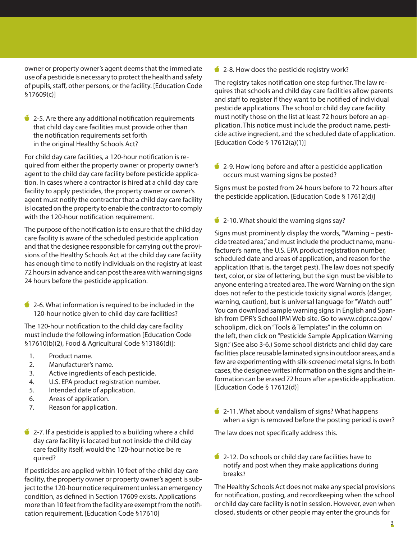owner or property owner's agent deems that the immediate use of a pesticide is necessary to protect the health and safety of pupils, staff, other persons, or the facility. [Education Code §17609(c)]

 $\bullet$  2-5. Are there any additional notification requirements that child day care facilities must provide other than the notification requirements set forth in the original Healthy Schools Act?

For child day care facilities, a 120-hour notification is required from either the property owner or property owner's agent to the child day care facility before pesticide application. In cases where a contractor is hired at a child day care facility to apply pesticides, the property owner or owner's agent must notify the contractor that a child day care facility is located on the property to enable the contractor to comply with the 120-hour notification requirement.

The purpose of the notification is to ensure that the child day care facility is aware of the scheduled pesticide application and that the designee responsible for carrying out the provisions of the Healthy Schools Act at the child day care facility has enough time to notify individuals on the registry at least 72 hours in advance and can post the area with warning signs 24 hours before the pesticide application.

 $\bullet$  2-6. What information is required to be included in the 120-hour notice given to child day care facilities?

The 120-hour notification to the child day care facility must include the following information [Education Code §17610(b)(2), Food & Agricultural Code §13186(d)]:

- 1. Product name.
- 2. Manufacturer's name.
- 3. Active ingredients of each pesticide.
- 4. U.S. EPA product registration number.
- 5. Intended date of application.
- 6. Areas of application.
- 7. Reason for application.
- $\bullet$  2-7. If a pesticide is applied to a building where a child day care facility is located but not inside the child day care facility itself, would the 120-hour notice be re quired?

If pesticides are applied within 10 feet of the child day care facility, the property owner or property owner's agent is subject to the 120-hour notice requirement unless an emergency condition, as defined in Section 17609 exists. Applications more than 10 feet from the facility are exempt from the notifi cation requirement. [Education Code §17610]

2-8. How does the pesticide registry work?

The registry takes notification one step further. The law requires that schools and child day care facilities allow parents and staff to register if they want to be notified of individual pesticide applications. The school or child day care facility must notify those on the list at least 72 hours before an application. This notice must include the product name, pesticide active ingredient, and the scheduled date of application. [Education Code § 17612(a)(1)]

 $\bullet$  2-9. How long before and after a pesticide application occurs must warning signs be posted?

Signs must be posted from 24 hours before to 72 hours after the pesticide application. [Education Code § 17612(d)]

2-10. What should the warning signs say?

Signs must prominently display the words, "Warning – pesticide treated area," and must include the product name, manufacturer's name, the U.S. EPA product registration number, scheduled date and areas of application, and reason for the application (that is, the target pest). The law does not specify text, color, or size of lettering, but the sign must be visible to anyone entering a treated area. The word Warning on the sign does not refer to the pesticide toxicity signal words (danger, warning, caution), but is universal language for "Watch out!" You can download sample warning signs in English and Spanish from DPR's School IPM Web site. Go to www.cdpr.ca.gov/ schoolipm, click on "Tools & Templates" in the column on the left, then click on "Pesticide Sample Application Warning Sign." (See also 3-6.) Some school districts and child day care facilities place reusable laminated signs in outdoor areas, and a few are experimenting with silk-screened metal signs. In both cases, the designee writes information on the signs and the information can be erased 72 hours after a pesticide application. [Education Code § 17612(d)]

2-11. What about vandalism of signs? What happens when a sign is removed before the posting period is over?

The law does not specifically address this.

 $\bullet$  2-12. Do schools or child day care facilities have to notify and post when they make applications during breaks?

The Healthy Schools Act does not make any special provisions for notification, posting, and recordkeeping when the school or child day care facility is not in session. However, even when closed, students or other people may enter the grounds for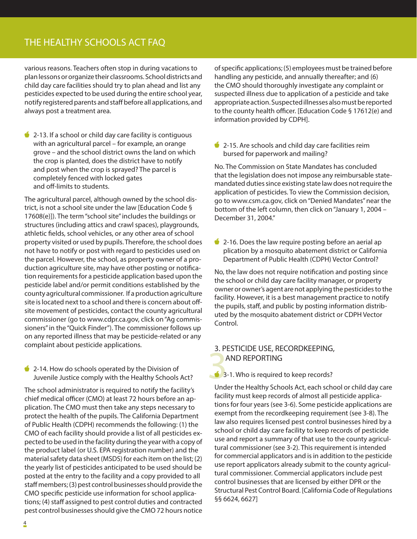### THE HEALTHY SCHOOLS ACT FAQ

various reasons. Teachers often stop in during vacations to plan lessons or organize their classrooms. School districts and child day care facilities should try to plan ahead and list any pesticides expected to be used during the entire school year, notify registered parents and staff before all applications, and always post a treatment area.

 $\bullet$  2-13. If a school or child day care facility is contiguous with an agricultural parcel – for example, an orange grove – and the school district owns the land on which the crop is planted, does the district have to notify and post when the crop is sprayed? The parcel is completely fenced with locked gates and off-limits to students.

The agricultural parcel, although owned by the school district, is not a school site under the law [Education Code § 17608(e)]). The term "school site" includes the buildings or structures (including attics and crawl spaces), playgrounds, athletic fields, school vehicles, or any other area of school property visited or used by pupils. Therefore, the school does not have to notify or post with regard to pesticides used on the parcel. However, the school, as property owner of a production agriculture site, may have other posting or notification requirements for a pesticide application based upon the pesticide label and/or permit conditions established by the county agricultural commissioner. If a production agriculture site is located next to a school and there is concern about off site movement of pesticides, contact the county agricultural commissioner (go to www.cdpr.ca.gov, click on "Ag commissioners" in the "Quick Finder"). The commissioner follows up on any reported illness that may be pesticide-related or any complaint about pesticide applications.

#### 2-14. How do schools operated by the Division of Juvenile Justice comply with the Healthy Schools Act?

 chief medical officer (CMO) at least 72 hours before an ap-The school administrator is required to notify the facility's plication. The CMO must then take any steps necessary to protect the health of the pupils. The California Department of Public Health (CDPH) recommends the following: (1) the CMO of each facility should provide a list of all pesticides expected to be used in the facility during the year with a copy of the product label (or U.S. EPA registration number) and the material safety data sheet (MSDS) for each item on the list; (2) the yearly list of pesticides anticipated to be used should be posted at the entry to the facility and a copy provided to all staff members; (3) pest control businesses should provide the CMO specific pesticide use information for school applications; (4) staff assigned to pest control duties and contracted pest control businesses should give the CMO 72 hours notice

 to the county health officer. [Education Code § 17612(e) and of specific applications; (5) employees must be trained before handling any pesticide, and annually thereafter; and (6) the CMO should thoroughly investigate any complaint or suspected illness due to application of a pesticide and take appropriate action. Suspected illnesses also must be reported information provided by CDPH].

 $\bullet$  2-15. Are schools and child day care facilities reim bursed for paperwork and mailing?

No. The Commission on State Mandates has concluded that the legislation does not impose any reimbursable statemandated duties since existing state law does not require the application of pesticides. To view the Commission decision, go to www.csm.ca.gov, click on "Denied Mandates" near the bottom of the left column, then click on "January 1, 2004 – December 31, 2004."

2-16. Does the law require posting before an aerial ap plication by a mosquito abatement district or California Department of Public Health (CDPH) Vector Control?

No, the law does not require notification and posting since the school or child day care facility manager, or property owner or owner's agent are not applying the pesticides to the facility. However, it is a best management practice to notify the pupils, staff, and public by posting information distributed by the mosquito abatement district or CDPH Vector Control.

## $3.1$ 3. PESTICIDE USE, RECORDKEEPING, AND REPORTING

#### 3-1. Who is required to keep records?

Under the Healthy Schools Act, each school or child day care facility must keep records of almost all pesticide applications for four years (see 3-6). Some pesticide applications are exempt from the recordkeeping requirement (see 3-8). The law also requires licensed pest control businesses hired by a school or child day care facility to keep records of pesticide use and report a summary of that use to the county agricultural commissioner (see 3-2). This requirement is intended for commercial applicators and is in addition to the pesticide use report applicators already submit to the county agricultural commissioner. Commercial applicators include pest control businesses that are licensed by either DPR or the Structural Pest Control Board. [California Code of Regulations §§ 6624, 6627]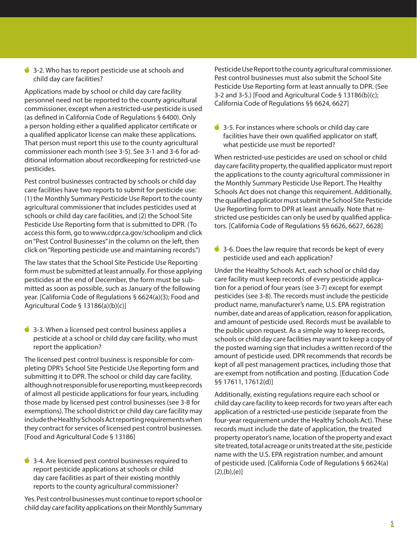3-2. Who has to report pesticide use at schools and child day care facilities?

Applications made by school or child day care facility personnel need not be reported to the county agricultural commissioner, except when a restricted-use pesticide is used (as defined in California Code of Regulations § 6400). Only a person holding either a qualified applicator certificate or a qualified applicator license can make these applications. That person must report this use to the county agricultural commissioner each month (see 3-5). See 3-1 and 3-6 for additional information about recordkeeping for restricted-use pesticides.

Pest control businesses contracted by schools or child day care facilities have two reports to submit for pesticide use: (1) the Monthly Summary Pesticide Use Report to the county agricultural commissioner that includes pesticides used at schools or child day care facilities, and (2) the School Site Pesticide Use Reporting form that is submitted to DPR. ( To access this form, go to www.cdpr.ca.gov/schoolipm and click on "Pest Control Businesses" in the column on the left, then click on "Reporting pesticide use and maintaining records.")

The law states that the School Site Pesticide Use Reporting form must be submitted at least annually. For those applying pesticides at the end of December, the form must be submitted as soon as possible, such as January of the following year. [California Code of Regulations § 6624(a)(3); Food and Agricultural Code § 13186(a)(b)(c)]

3-3. When a licensed pest control business applies a pesticide at a school or child day care facility, who must report the application?

The licensed pest control business is responsible for completing DPR's School Site Pesticide Use Reporting form and submitting it to DPR. The school or child day care facility, although not responsible for use reporting, must keep records of almost all pesticide applications for four years, including those made by licensed pest control businesses (see 3-8 for exemptions). The school district or child day care facility may include the Healthy Schools Act reporting requirements when they contract for services of licensed pest control businesses. [Food and Agricultural Code § 13186]

3-4. Are licensed pest control businesses required to report pesticide applications at schools or child day care facilities as part of their existing monthly reports to the county agricultural commissioner?

Yes. Pest control businesses must continue to report school or child day care facility applications on their Monthly Summary Pesticide Use Report to the county agricultural commissioner. Pest control businesses must also submit the School Site Pesticide Use Reporting form at least annually to DPR. (See 3-2 and 3-5.) [Food and Agricultural Code § 13186(b)(c); California Code of Regulations §§ 6624, 6627]

facilities have their own qualified applicator on staff, 3-5. For instances where schools or child day care what pesticide use must be reported?

When restricted-use pesticides are used on school or child day care facility property, the qualified applicator must report the applications to the county agricultural commissioner in the Monthly Summary Pesticide Use Report. The Healthy Schools Act does not change this requirement. Additionally, the qualified applicator must submit the School Site Pesticide Use Reporting form to DPR at least annually. Note that restricted use pesticides can only be used by qualified applicators. [California Code of Regulations §§ 6626, 6627, 6628]

 $\bullet$  3-6. Does the law require that records be kept of every pesticide used and each application?

Under the Healthy Schools Act, each school or child day care facility must keep records of every pesticide application for a period of four years (see 3-7) except for exempt pesticides (see 3-8). The records must include the pesticide product name, manufacturer's name, U.S. EPA registration number, date and areas of application, reason for application, and amount of pesticide used. Records must be available to the public upon request. As a simple way to keep records, schools or child day care facilities may want to keep a copy of the posted warning sign that includes a written record of the amount of pesticide used. DPR recommends that records be kept of all pest management practices, including those that are exempt from notification and posting. [Education Code §§ 17611, 17612(d)]

Additionally, existing regulations require each school or child day care facility to keep records for two years after each application of a restricted-use pesticide (separate from the four-year requirement under the Healthy Schools Act). These records must include the date of application, the treated property operator's name, location of the property and exact site treated, total acreage or units treated at the site, pesticide name with the U.S. EPA registration number, and amount of pesticide used. [California Code of Regulations § 6624(a)  $(2), (b), (e)]$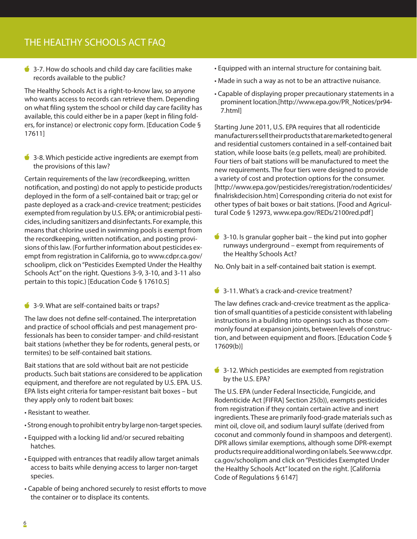### THE HEALTHY SCHOOLS ACT FAQ

 $\bullet$  3-7. How do schools and child day care facilities make records available to the public?

The Healthy Schools Act is a right-to-know law, so anyone who wants access to records can retrieve them. Depending on what filing system the school or child day care facility has available, this could either be in a paper (kept in filing folders, for instance) or electronic copy form. [Education Code § 17611]

3-8. Which pesticide active ingredients are exempt from the provisions of this law?

Certain requirements of the law (recordkeeping, written notification, and posting) do not apply to pesticide products deployed in the form of a self-contained bait or trap; gel or paste deployed as a crack-and-crevice treatment; pesticides exempted from regulation by U.S. EPA; or antimicrobial pesticides, including sanitizers and disinfectants. For example, this means that chlorine used in swimming pools is exempt from the recordkeeping, written notification, and posting provisions of this law. (For further information about pesticides exempt from registration in California, go to www.cdpr.ca.gov/ schoolipm, click on "Pesticides Exempted Under the Healthy Schools Act" on the right. Questions 3-9, 3-10, and 3-11 also pertain to this topic.) [Education Code § 17610.5]

3-9. What are self-contained baits or traps?

 and practice of school officials and pest management pro-The law does not define self-contained. The interpretation fessionals has been to consider tamper- and child-resistant bait stations (whether they be for rodents, general pests, or termites) to be self-contained bait stations.

Bait stations that are sold without bait are not pesticide products. Such bait stations are considered to be application equipment, and therefore are not regulated by U.S. EPA. U.S. EPA lists eight criteria for tamper-resistant bait boxes – but they apply only to rodent bait boxes:

- Resistant to weather.
- Strong enough to prohibit entry by large non-target species.
- Equipped with a locking lid and/or secured rebaiting hatches.
- Equipped with entrances that readily allow target animals access to baits while denying access to larger non-target species.
- Capable of being anchored securely to resist efforts to move the container or to displace its contents.
- Equipped with an internal structure for containing bait.
- Made in such a way as not to be an attractive nuisance.
- Capable of displaying proper precautionary statements in a prominent location.[http://www.epa.gov/PR\_Notices/pr94- 7.html]

Starting June 2011, U.S. EPA requires that all rodenticide manufacturers sell their products that are marketed to general and residential customers contained in a self-contained bait station, while loose baits (e.g pellets, meal) are prohibited. Four tiers of bait stations will be manufactured to meet the new requirements. The four tiers were designed to provide a variety of cost and protection options for the consumer. [http://www.epa.gov/pesticides/reregistration/rodenticides/ finalriskdecision.htm] Corresponding criteria do not exist for other types of bait boxes or bait stations. [Food and Agricultural Code § 12973, www.epa.gov/REDs/2100red.pdf]

 $\bullet$  3-10. Is granular gopher bait – the kind put into gopher runways underground – exempt from requirements of the Healthy Schools Act?

No. Only bait in a self-contained bait station is exempt.

<sup>3</sup> 3-11. What's a crack-and-crevice treatment?

The law defines crack-and-crevice treatment as the application of small quantities of a pesticide consistent with labeling instructions in a building into openings such as those commonly found at expansion joints, between levels of construction, and between equipment and floors. [Education Code § 17609(b)]

 $\bullet$  3-12. Which pesticides are exempted from registration by the U.S. EPA?

The U.S. EPA (under Federal Insecticide, Fungicide, and Rodenticide Act [FIFRA] Section 25(b)), exempts pesticides from registration if they contain certain active and inert ingredients. These are primarily food-grade materials such as mint oil, clove oil, and sodium lauryl sulfate (derived from coconut and commonly found in shampoos and detergent). DPR allows similar exemptions, although some DPR-exempt products require additional wording on labels. See www.cdpr. ca.gov/schoolipm and click on "Pesticides Exempted Under the Healthy Schools Act" located on the right. [California Code of Regulations § 6147]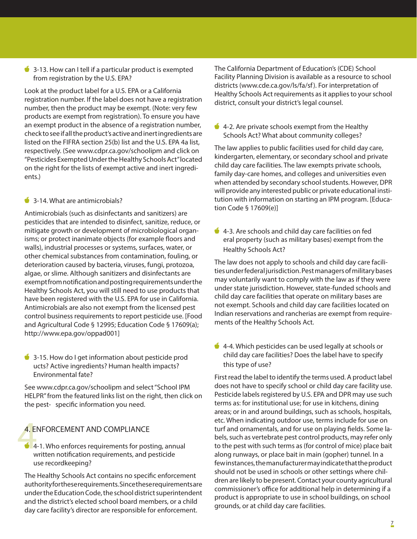$\bullet$  3-13. How can I tell if a particular product is exempted from registration by the U.S. EPA?

Look at the product label for a U.S. EPA or a California registration number. If the label does not have a registration number, then the product may be exempt. (Note: very few products are exempt from registration). To ensure you have an exempt product in the absence of a registration number, check to see if all the product's active and inert ingredients are listed on the FIFRA section 25(b) list and the U.S. EPA 4a list, respectively. (See www.cdpr.ca.gov/schoolipm and click on "Pesticides Exempted Under the Healthy Schools Act" located on the right for the lists of exempt active and inert ingredients.)

3-14. What are antimicrobials?

Antimicrobials (such as disinfectants and sanitizers) are pesticides that are intended to disinfect, sanitize, reduce, or mitigate growth or development of microbiological organisms; or protect inanimate objects (for example floors and walls), industrial processes or systems, surfaces, water, or other chemical substances from contamination, fouling, or deterioration caused by bacteria, viruses, fungi, protozoa, algae, or slime. Although sanitizers and disinfectants are exempt from notification and posting requirements under the Healthy Schools Act, you will still need to use products that have been registered with the U.S. EPA for use in California. Antimicrobials are also not exempt from the licensed pest control business requirements to report pesticide use. [Food and Agricultural Code § 12995; Education Code § 17609(a); http://www.epa.gov/oppad001]

3-15. How do I get information about pesticide prod ucts? Active ingredients? Human health impacts? Environmental fate?

See www.cdpr.ca.gov/schoolipm and select "School IPM HELPR" from the featured links list on the right, then click on the pest- specific information you need.

### 4. ENFORCEMENT AND COMPLIANCE

 $\frac{4.1}{4}$ 4-1. Who enforces requirements for posting, annual written notification requirements, and pesticide use recordkeeping?

The Healthy Schools Act contains no specific enforcement authority for these requirements. Since these requirements are under the Education Code, the school district superintendent and the district's elected school board members, or a child day care facility's director are responsible for enforcement.

The California Department of Education's (CDE) School Facility Planning Division is available as a resource to school districts (www.cde.ca.gov/ls/fa/sf ). For interpretation of Healthy Schools Act requirements as it applies to your school district, consult your district's legal counsel.

 $\triangleq$  4-2. Are private schools exempt from the Healthy Schools Act? What about community colleges?

The law applies to public facilities used for child day care, kindergarten, elementary, or secondary school and private child day care facilities. The law exempts private schools, family day-care homes, and colleges and universities even when attended by secondary school students. However, DPR will provide any interested public or private educational institution with information on starting an IPM program. [Education Code § 17609(e)]

4-3. Are schools and child day care facilities on fed eral property (such as military bases) exempt from the Healthy Schools Act?

The law does not apply to schools and child day care facilities under federal jurisdiction. Pest managers of military bases may voluntarily want to comply with the law as if they were under state jurisdiction. However, state-funded schools and child day care facilities that operate on military bases are not exempt. Schools and child day care facilities located on Indian reservations and rancherias are exempt from requirements of the Healthy Schools Act.

 $\triangleq$  4-4. Which pesticides can be used legally at schools or child day care facilities? Does the label have to specify this type of use?

 commissioner's office for additional help in determining if a First read the label to identify the terms used. A product label does not have to specify school or child day care facility use. Pesticide labels registered by U.S. EPA and DPR may use such terms as: for institutional use; for use in kitchens, dining areas; or in and around buildings, such as schools, hospitals, etc. When indicating outdoor use, terms include for use on turf and ornamentals, and for use on playing fields. Some labels, such as vertebrate pest control products, may refer only to the pest with such terms as (for control of mice) place bait along runways, or place bait in main (gopher) tunnel. In a few instances, the manufacturer may indicate that the product should not be used in schools or other settings where children are likely to be present. Contact your county agricultural product is appropriate to use in school buildings, on school grounds, or at child day care facilities.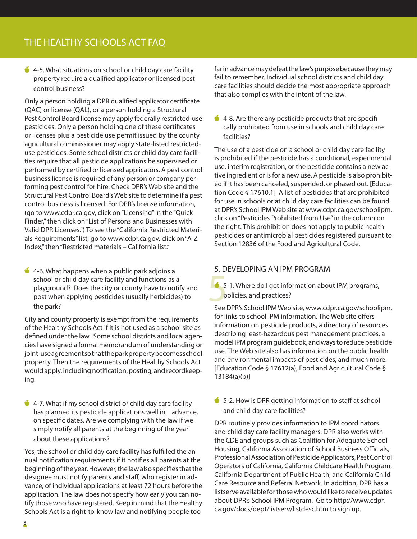$\bullet$  4-5. What situations on school or child day care facility property require a qualified applicator or licensed pest control business?

Only a person holding a DPR qualified applicator certificate (QAC) or license (QAL), or a person holding a Structural Pest Control Board license may apply federally restricted-use pesticides. Only a person holding one of these certificates or licenses plus a pesticide use permit issued by the county agricultural commissioner may apply state-listed restricteduse pesticides. Some school districts or child day care facilities require that all pesticide applications be supervised or performed by certified or licensed applicators. A pest control business license is required of any person or company performing pest control for hire. Check DPR's Web site and the Structural Pest Control Board's Web site to determine if a pest control business is licensed. For DPR's license information, (go to www.cdpr.ca.gov, click on "Licensing" in the "Quick Finder," then click on "List of Persons and Businesses with Valid DPR Licenses.") To see the "California Restricted Materials Requirements" list, go to www.cdpr.ca.gov, click on "A-Z Index," then "Restricted materials – California list."

 $\bullet$  4-6. What happens when a public park adjoins a school or child day care facility and functions as a playground? Does the city or county have to notify and post when applying pesticides (usually herbicides) to the park?

City and county property is exempt from the requirements of the Healthy Schools Act if it is not used as a school site as defined under the law. Some school districts and local agencies have signed a formal memorandum of understanding or joint-use agreement so that the park property becomes school property. Then the requirements of the Healthy Schools Act would apply, including notification, posting, and recordkeeping.

 $\bullet$  4-7. What if my school district or child day care facility has planned its pesticide applications well in advance, on specific dates. Are we complying with the law if we simply notify all parents at the beginning of the year about these applications?

Yes, the school or child day care facility has fulfilled the annual notification requirements if it notifies all parents at the beginning of the year. However, the law also specifies that the designee must notify parents and staff, who register in advance, of individual applications at least 72 hours before the application. The law does not specify how early you can notify those who have registered. Keep in mind that the Healthy Schools Act is a right-to-know law and notifying people too

far in advance may defeat the law's purpose because they may fail to remember. Individual school districts and child day care facilities should decide the most appropriate approach that also complies with the intent of the law.

 4-8. Are there any pesticide products that are specifi cally prohibited from use in schools and child day care facilities?

The use of a pesticide on a school or child day care facility is prohibited if the pesticide has a conditional, experimental use, interim registration, or the pesticide contains a new active ingredient or is for a new use. A pesticide is also prohibited if it has been canceled, suspended, or phased out. [Education Code § 17610.1] A list of pesticides that are prohibited for use in schools or at child day care facilities can be found at DPR's School IPM Web site at www.cdpr.ca.gov/schoolipm, click on "Pesticides Prohibited from Use" in the column on the right. This prohibition does not apply to public health pesticides or antimicrobial pesticides registered pursuant to Section 12836 of the Food and Agricultural Code.

### 5. DEVELOPING AN IPM PROGRAM

 $\bullet$  5-1. Where do I get information about IPM programs, policies, and practices?

See DPR's School IPM Web site, www.cdpr.ca.gov/schoolipm, for links to school IPM information. The Web site offers information on pesticide products, a directory of resources describing least-hazardous pest management practices, a model IPM program guidebook, and ways to reduce pesticide use. The Web site also has information on the public health and environmental impacts of pesticides, and much more. [Education Code § 17612(a), Food and Agricultural Code § 13184(a)(b)]

5-2. How is DPR getting information to staff at school and child day care facilities?

DPR routinely provides information to IPM coordinators and child day care facility managers. DPR also works with the CDE and groups such as Coalition for Adequate School Housing, California Association of School Business Officials, Professional Association of Pesticide Applicators, Pest Control Operators of California, California Childcare Health Program, California Department of Public Health, and California Child Care Resource and Referral Network. In addition, DPR has a listserve available for those who would like to receive updates about DPR's School IPM Program. Go to http://www.cdpr. ca.gov/docs/dept/listserv/listdesc.htm to sign up.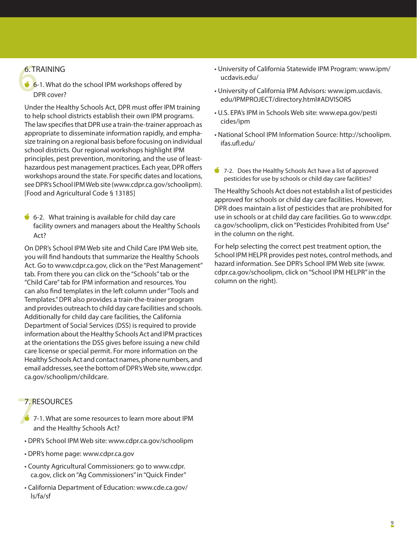### 6. TRAINING

 $6.7F$ <br> $6.7F$ 6-1. What do the school IPM workshops offered by DPR cover?

Under the Healthy Schools Act, DPR must offer IPM training to help school districts establish their own IPM programs. The law specifies that DPR use a train-the-trainer approach as appropriate to disseminate information rapidly, and emphasize training on a regional basis before focusing on individual school districts. Our regional workshops highlight IPM principles, pest prevention, monitoring, and the use of leasthazardous pest management practices. Each year, DPR offers workshops around the state. For specific dates and locations, see DPR's School IPM Web site (www.cdpr.ca.gov/schoolipm). [Food and Agricultural Code § 13185]

 $\bullet$  6-2. What training is available for child day care facility owners and managers about the Healthy Schools Act?

On DPR's School IPM Web site and Child Care IPM Web site, you will find handouts that summarize the Healthy Schools Act. Go to www.cdpr.ca.gov, click on the "Pest Management" tab. From there you can click on the "Schools" tab or the "Child Care" tab for IPM information and resources. You can also find templates in the left column under "Tools and Templates." DPR also provides a train-the-trainer program and provides outreach to child day care facilities and schools. Additionally for child day care facilities, the California Department of Social Services (DSS) is required to provide information about the Healthy Schools Act and IPM practices at the orientations the DSS gives before issuing a new child care license or special permit. For more information on the Healthy Schools Act and contact names, phone numbers, and email addresses, see the bottom of DPR's Web site, www.cdpr. ca.gov/schoolipm/childcare.

### 7. RESOURCES

- $7. R$ 7-1. What are some resources to learn more about IPM and the Healthy Schools Act?
	- DPR's School IPM Web site: www.cdpr.ca.gov/schoolipm
	- DPR's home page: www.cdpr.ca.gov
	- County Agricultural Commissioners: go to www.cdpr. ca.gov, click on "Ag Commissioners" in "Quick Finder"
	- California Department of Education: www.cde.ca.gov/ ls/fa/sf
- University of California Statewide IPM Program: www.ipm/ ucdavis.edu/
- University of California IPM Advisors: www.ipm.ucdavis. edu/IPMPROJECT/directory.html#ADVISORS
- U.S. EPA's IPM in Schools Web site: www.epa.gov/pesti cides/ipm
- National School IPM Information Source: http://schoolipm. ifas.ufl.edu/
- 7-2. Does the Healthy Schools Act have a list of approved pesticides for use by schools or child day care facilities?

The Healthy Schools Act does not establish a list of pesticides approved for schools or child day care facilities. However, DPR does maintain a list of pesticides that are prohibited for use in schools or at child day care facilities. Go to www.cdpr. ca.gov/schoolipm, click on "Pesticides Prohibited from Use" in the column on the right.

For help selecting the correct pest treatment option, the School IPM HELPR provides pest notes, control methods, and hazard information. See DPR's School IPM Web site (www. cdpr.ca.gov/schoolipm, click on "School IPM HELPR" in the column on the right).